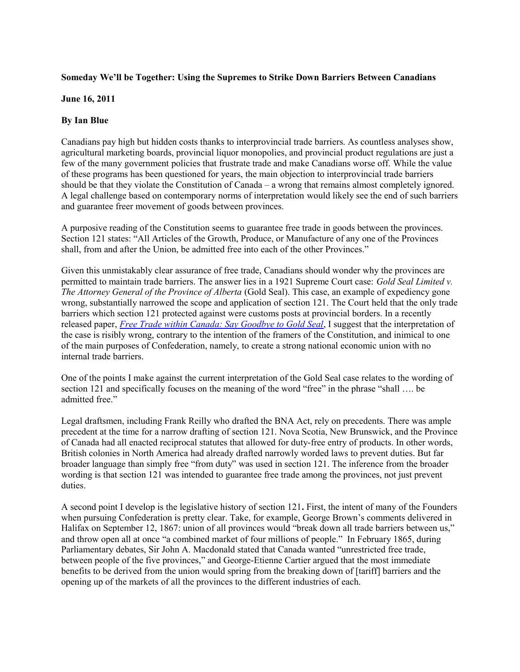## **Someday We'll be Together: Using the Supremes to Strike Down Barriers Between Canadians**

## **June 16, 2011**

## **By Ian Blue**

Canadians pay high but hidden costs thanks to interprovincial trade barriers. As countless analyses show, agricultural marketing boards, provincial liquor monopolies, and provincial product regulations are just a few of the many government policies that frustrate trade and make Canadians worse off. While the value of these programs has been questioned for years, the main objection to interprovincial trade barriers should be that they violate the Constitution of Canada – a wrong that remains almost completely ignored. A legal challenge based on contemporary norms of interpretation would likely see the end of such barriers and guarantee freer movement of goods between provinces.

A purposive reading of the Constitution seems to guarantee free trade in goods between the provinces. Section 121 states: "All Articles of the Growth, Produce, or Manufacture of any one of the Provinces shall, from and after the Union, be admitted free into each of the other Provinces."

Given this unmistakably clear assurance of free trade, Canadians should wonder why the provinces are permitted to maintain trade barriers. The answer lies in a 1921 Supreme Court case: *Gold Seal Limited v. The Attorney General of the Province of Alberta* (Gold Seal). This case, an example of expediency gone wrong, substantially narrowed the scope and application of section 121. The Court held that the only trade barriers which section 121 protected against were customs posts at provincial borders. In a recently released paper, *[Free Trade within Canada: Say Goodbye to Gold Seal](http://www.macdonaldlaurier.ca/files/pdf/Ian-Blue-Section-121-Free-Trade-within-Canada.pdf)*, I suggest that the interpretation of the case is risibly wrong, contrary to the intention of the framers of the Constitution, and inimical to one of the main purposes of Confederation, namely, to create a strong national economic union with no internal trade barriers.

One of the points I make against the current interpretation of the Gold Seal case relates to the wording of section 121 and specifically focuses on the meaning of the word "free" in the phrase "shall …. be admitted free."

Legal draftsmen, including Frank Reilly who drafted the BNA Act, rely on precedents. There was ample precedent at the time for a narrow drafting of section 121. Nova Scotia, New Brunswick, and the Province of Canada had all enacted reciprocal statutes that allowed for duty-free entry of products. In other words, British colonies in North America had already drafted narrowly worded laws to prevent duties. But far broader language than simply free "from duty" was used in section 121. The inference from the broader wording is that section 121 was intended to guarantee free trade among the provinces, not just prevent duties.

A second point I develop is the legislative history of section 121**.** First, the intent of many of the Founders when pursuing Confederation is pretty clear. Take, for example, George Brown's comments delivered in Halifax on September 12, 1867: union of all provinces would "break down all trade barriers between us," and throw open all at once "a combined market of four millions of people." In February 1865, during Parliamentary debates, Sir John A. Macdonald stated that Canada wanted "unrestricted free trade, between people of the five provinces," and George-Etienne Cartier argued that the most immediate benefits to be derived from the union would spring from the breaking down of [tariff] barriers and the opening up of the markets of all the provinces to the different industries of each.